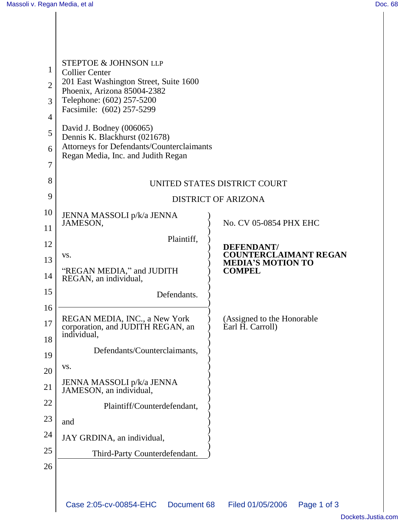$\mathsf{l}$ 

| 1<br>$\overline{2}$<br>3<br>$\overline{4}$<br>5<br>6<br>7<br>8<br>9 | <b>STEPTOE &amp; JOHNSON LLP</b><br><b>Collier Center</b><br>201 East Washington Street, Suite 1600<br>Phoenix, Arizona 85004-2382<br>Telephone: (602) 257-5200<br>Facsimile: (602) 257-5299<br>David J. Bodney (006065)<br>Dennis K. Blackhurst (021678)<br>Attorneys for Defendants/Counterclaimants<br>Regan Media, Inc. and Judith Regan | UNITED STATES DISTRICT COURT<br><b>DISTRICT OF ARIZONA</b> |
|---------------------------------------------------------------------|----------------------------------------------------------------------------------------------------------------------------------------------------------------------------------------------------------------------------------------------------------------------------------------------------------------------------------------------|------------------------------------------------------------|
| 10                                                                  | JENNA MASSOLI p/k/a JENNA                                                                                                                                                                                                                                                                                                                    |                                                            |
| 11                                                                  | JAMESON,                                                                                                                                                                                                                                                                                                                                     | No. CV 05-0854 PHX EHC                                     |
| 12                                                                  | Plaintiff,                                                                                                                                                                                                                                                                                                                                   | <b>DEFENDANT/</b>                                          |
| 13                                                                  | VS.                                                                                                                                                                                                                                                                                                                                          | <b>COUNTERCLAIMANT REGAN</b><br><b>MEDIA'S MOTION TO</b>   |
| 14                                                                  | "REGAN MEDIA," and JUDITH<br>REGAN, an individual,                                                                                                                                                                                                                                                                                           | <b>COMPEL</b>                                              |
| 15                                                                  | Defendants.                                                                                                                                                                                                                                                                                                                                  |                                                            |
| 16                                                                  |                                                                                                                                                                                                                                                                                                                                              |                                                            |
| 17                                                                  | REGAN MEDIA, INC., a New York<br>corporation, and JUDITH REGAN, an<br>individual,                                                                                                                                                                                                                                                            | (Assigned to the Honorable<br>Earl H. Carroll)             |
| 18                                                                  |                                                                                                                                                                                                                                                                                                                                              |                                                            |
| 19                                                                  | Defendants/Counterclaimants,                                                                                                                                                                                                                                                                                                                 |                                                            |
| 20                                                                  | VS.                                                                                                                                                                                                                                                                                                                                          |                                                            |
| 21                                                                  | JENNA MASSOLI p/k/a JENNA<br>JAMESON, an individual,                                                                                                                                                                                                                                                                                         |                                                            |
| 22                                                                  | Plaintiff/Counterdefendant,                                                                                                                                                                                                                                                                                                                  |                                                            |
| 23                                                                  | and                                                                                                                                                                                                                                                                                                                                          |                                                            |
| 24                                                                  | JAY GRDINA, an individual,                                                                                                                                                                                                                                                                                                                   |                                                            |
| 25                                                                  | Third-Party Counterdefendant.                                                                                                                                                                                                                                                                                                                |                                                            |
| 26                                                                  |                                                                                                                                                                                                                                                                                                                                              |                                                            |
|                                                                     |                                                                                                                                                                                                                                                                                                                                              |                                                            |
|                                                                     | Case 2:05-cv-00854-EHC<br>Document 68                                                                                                                                                                                                                                                                                                        | Filed 01/05/2006<br>Page 1 of 3                            |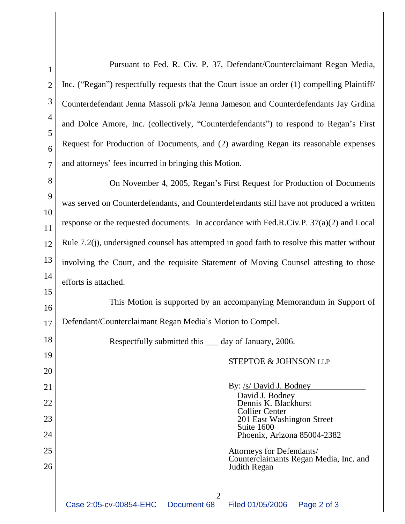| $\mathbf{1}$   | Pursuant to Fed. R. Civ. P. 37, Defendant/Counterclaimant Regan Media,                       |  |
|----------------|----------------------------------------------------------------------------------------------|--|
| $\overline{2}$ | Inc. ("Regan") respectfully requests that the Court issue an order (1) compelling Plaintiff/ |  |
| 3              | Counterdefendant Jenna Massoli p/k/a Jenna Jameson and Counterdefendants Jay Grdina          |  |
| 4<br>5         | and Dolce Amore, Inc. (collectively, "Counterdefendants") to respond to Regan's First        |  |
| 6              | Request for Production of Documents, and (2) awarding Regan its reasonable expenses          |  |
| $\overline{7}$ | and attorneys' fees incurred in bringing this Motion.                                        |  |
| 8              | On November 4, 2005, Regan's First Request for Production of Documents                       |  |
| 9<br>10        | was served on Counterdefendants, and Counterdefendants still have not produced a written     |  |
| 11             | response or the requested documents. In accordance with Fed.R.Civ.P. $37(a)(2)$ and Local    |  |
| 12             | Rule 7.2(j), undersigned counsel has attempted in good faith to resolve this matter without  |  |
| 13             | involving the Court, and the requisite Statement of Moving Counsel attesting to those        |  |
| 14             | efforts is attached.                                                                         |  |
| 15             | This Motion is supported by an accompanying Memorandum in Support of                         |  |
| 16<br>17       | Defendant/Counterclaimant Regan Media's Motion to Compel.                                    |  |
| 18             | Respectfully submitted this <u>equal</u> day of January, 2006.                               |  |
| 19             | <b>STEPTOE &amp; JOHNSON LLP</b>                                                             |  |
| 20             |                                                                                              |  |
| 21             | By: <u>/s/ David J. Bodney</u><br>David J. Bodney                                            |  |
| 22             | Dennis K. Blackhurst                                                                         |  |
| 23             |                                                                                              |  |
|                | <b>Collier Center</b><br>201 East Washington Street                                          |  |
| 24             | Suite 1600<br>Phoenix, Arizona 85004-2382                                                    |  |
| 25             | Attorneys for Defendants/<br>Counterclaimants Regan Media, Inc. and                          |  |
| 26             | Judith Regan                                                                                 |  |